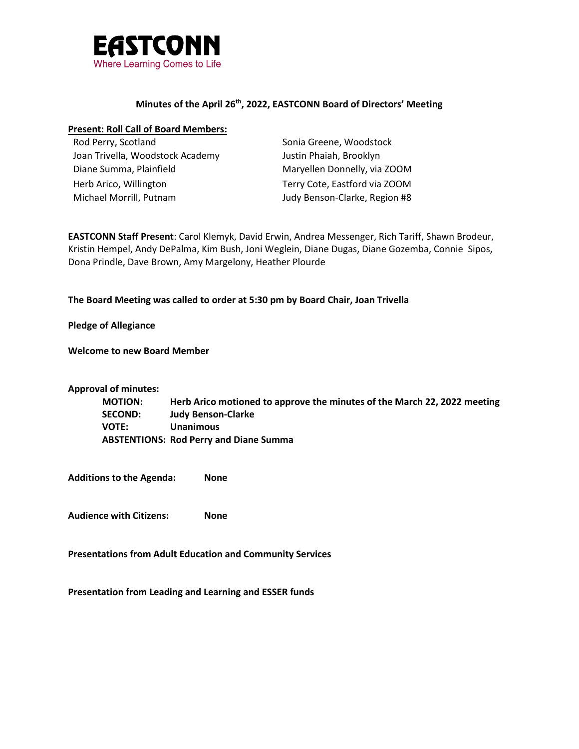

### **Minutes of the April 26th, 2022, EASTCONN Board of Directors' Meeting**

### **Present: Roll Call of Board Members:**

| Rod Perry, Scotland              | Sonia Greene, Woodstock       |
|----------------------------------|-------------------------------|
| Joan Trivella, Woodstock Academy | Justin Phaiah, Brooklyn       |
| Diane Summa, Plainfield          | Maryellen Donnelly, via ZOOM  |
| Herb Arico, Willington           | Terry Cote, Eastford via ZOOM |
| Michael Morrill, Putnam          | Judy Benson-Clarke, Region #8 |

**EASTCONN Staff Present**: Carol Klemyk, David Erwin, Andrea Messenger, Rich Tariff, Shawn Brodeur, Kristin Hempel, Andy DePalma, Kim Bush, Joni Weglein, Diane Dugas, Diane Gozemba, Connie Sipos, Dona Prindle, Dave Brown, Amy Margelony, Heather Plourde

### **The Board Meeting was called to order at 5:30 pm by Board Chair, Joan Trivella**

**Pledge of Allegiance**

**Welcome to new Board Member**

**Approval of minutes:**

**MOTION: Herb Arico motioned to approve the minutes of the March 22, 2022 meeting SECOND: Judy Benson-Clarke VOTE: Unanimous ABSTENTIONS: Rod Perry and Diane Summa**

**Additions to the Agenda: None**

**Audience with Citizens: None**

**Presentations from Adult Education and Community Services**

**Presentation from Leading and Learning and ESSER funds**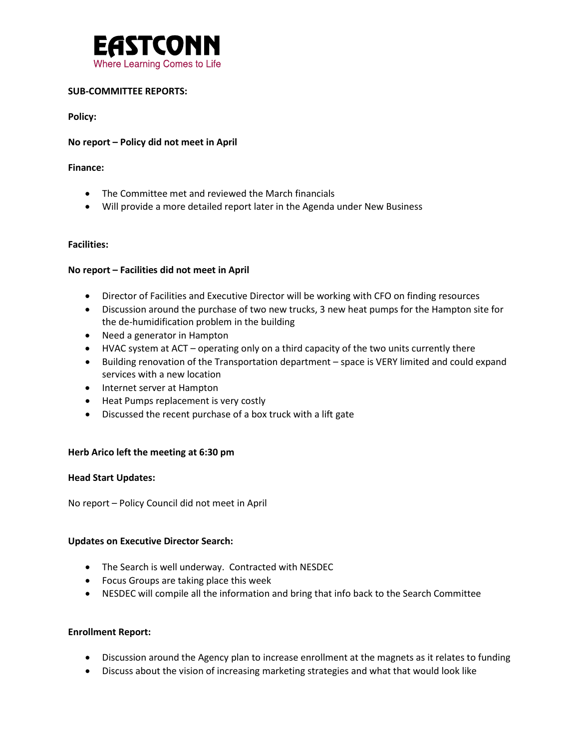

# **SUB-COMMITTEE REPORTS:**

**Policy:** 

### **No report – Policy did not meet in April**

#### **Finance:**

- The Committee met and reviewed the March financials
- Will provide a more detailed report later in the Agenda under New Business

### **Facilities:**

### **No report – Facilities did not meet in April**

- Director of Facilities and Executive Director will be working with CFO on finding resources
- Discussion around the purchase of two new trucks, 3 new heat pumps for the Hampton site for the de-humidification problem in the building
- Need a generator in Hampton
- HVAC system at ACT operating only on a third capacity of the two units currently there
- Building renovation of the Transportation department space is VERY limited and could expand services with a new location
- Internet server at Hampton
- Heat Pumps replacement is very costly
- Discussed the recent purchase of a box truck with a lift gate

#### **Herb Arico left the meeting at 6:30 pm**

#### **Head Start Updates:**

No report – Policy Council did not meet in April

#### **Updates on Executive Director Search:**

- The Search is well underway. Contracted with NESDEC
- Focus Groups are taking place this week
- NESDEC will compile all the information and bring that info back to the Search Committee

#### **Enrollment Report:**

- Discussion around the Agency plan to increase enrollment at the magnets as it relates to funding
- Discuss about the vision of increasing marketing strategies and what that would look like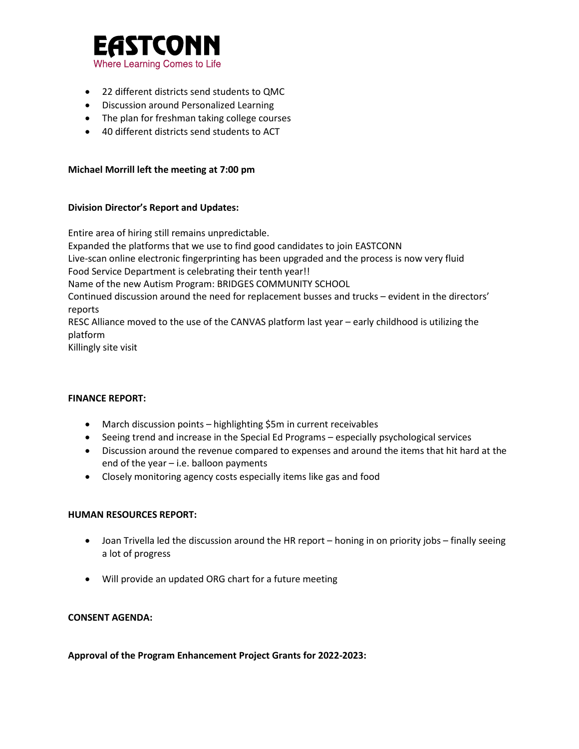

- 22 different districts send students to QMC
- Discussion around Personalized Learning
- The plan for freshman taking college courses
- 40 different districts send students to ACT

# **Michael Morrill left the meeting at 7:00 pm**

### **Division Director's Report and Updates:**

Entire area of hiring still remains unpredictable. Expanded the platforms that we use to find good candidates to join EASTCONN Live-scan online electronic fingerprinting has been upgraded and the process is now very fluid Food Service Department is celebrating their tenth year!! Name of the new Autism Program: BRIDGES COMMUNITY SCHOOL Continued discussion around the need for replacement busses and trucks – evident in the directors' reports RESC Alliance moved to the use of the CANVAS platform last year – early childhood is utilizing the platform Killingly site visit

#### **FINANCE REPORT:**

- March discussion points highlighting \$5m in current receivables
- Seeing trend and increase in the Special Ed Programs especially psychological services
- Discussion around the revenue compared to expenses and around the items that hit hard at the end of the year – i.e. balloon payments
- Closely monitoring agency costs especially items like gas and food

#### **HUMAN RESOURCES REPORT:**

- Joan Trivella led the discussion around the HR report honing in on priority jobs finally seeing a lot of progress
- Will provide an updated ORG chart for a future meeting

#### **CONSENT AGENDA:**

**Approval of the Program Enhancement Project Grants for 2022-2023:**